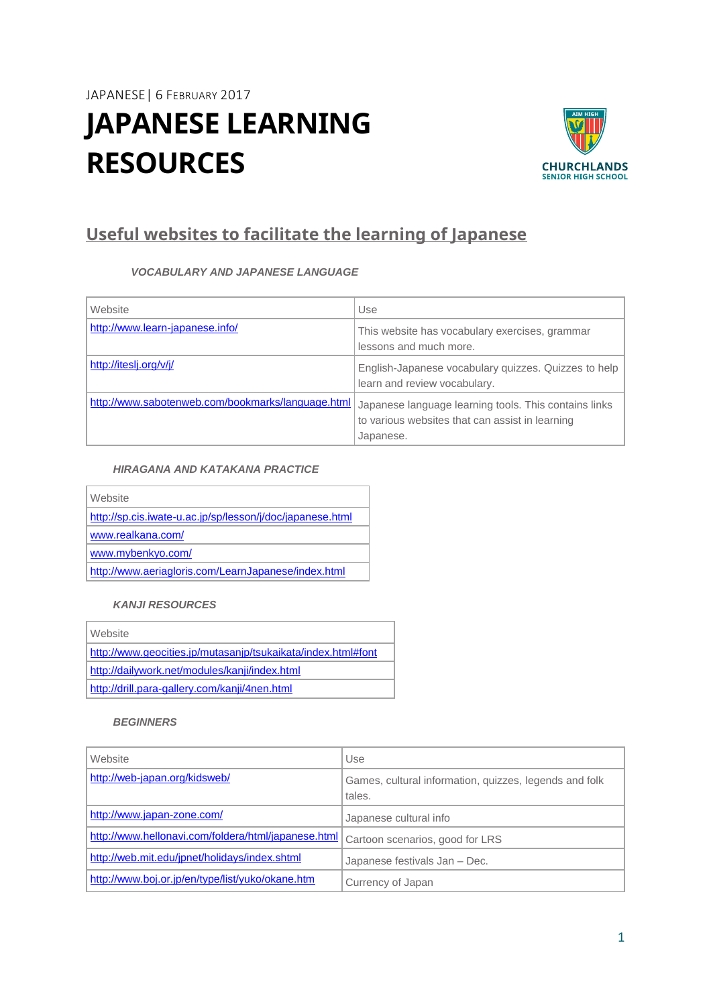## JAPANESE| 6 FEBRUARY 2017 **JAPANESE LEARNING RESOURCES**



## **Useful websites to facilitate the learning of Japanese**

## *VOCABULARY AND JAPANESE LANGUAGE*

| Website                                           | Use                                                                                                                   |
|---------------------------------------------------|-----------------------------------------------------------------------------------------------------------------------|
| http://www.learn-japanese.info/                   | This website has vocabulary exercises, grammar<br>lessons and much more.                                              |
| http://itesli.org/v/j/                            | English-Japanese vocabulary quizzes. Quizzes to help<br>learn and review vocabulary.                                  |
| http://www.sabotenweb.com/bookmarks/language.html | Japanese language learning tools. This contains links<br>to various websites that can assist in learning<br>Japanese. |

#### *HIRAGANA AND KATAKANA PRACTICE*

| Website                                                   |
|-----------------------------------------------------------|
| http://sp.cis.iwate-u.ac.jp/sp/lesson/j/doc/japanese.html |
| www.realkana.com/                                         |
| www.mybenkyo.com/                                         |
| http://www.aeriagloris.com/LearnJapanese/index.html       |

### *KANJI RESOURCES*

| Website                                                      |  |
|--------------------------------------------------------------|--|
| http://www.geocities.jp/mutasanjp/tsukaikata/index.html#font |  |
| http://dailywork.net/modules/kanji/index.html                |  |
| http://drill.para-gallery.com/kanji/4nen.html                |  |

### *BEGINNERS*

| Website                                             | Use                                                              |
|-----------------------------------------------------|------------------------------------------------------------------|
| http://web-japan.org/kidsweb/                       | Games, cultural information, quizzes, legends and folk<br>tales. |
| http://www.japan-zone.com/                          | Japanese cultural info                                           |
| http://www.hellonavi.com/foldera/html/japanese.html | Cartoon scenarios, good for LRS                                  |
| http://web.mit.edu/jpnet/holidays/index.shtml       | Japanese festivals Jan - Dec.                                    |
| http://www.boj.or.jp/en/type/list/yuko/okane.htm    | Currency of Japan                                                |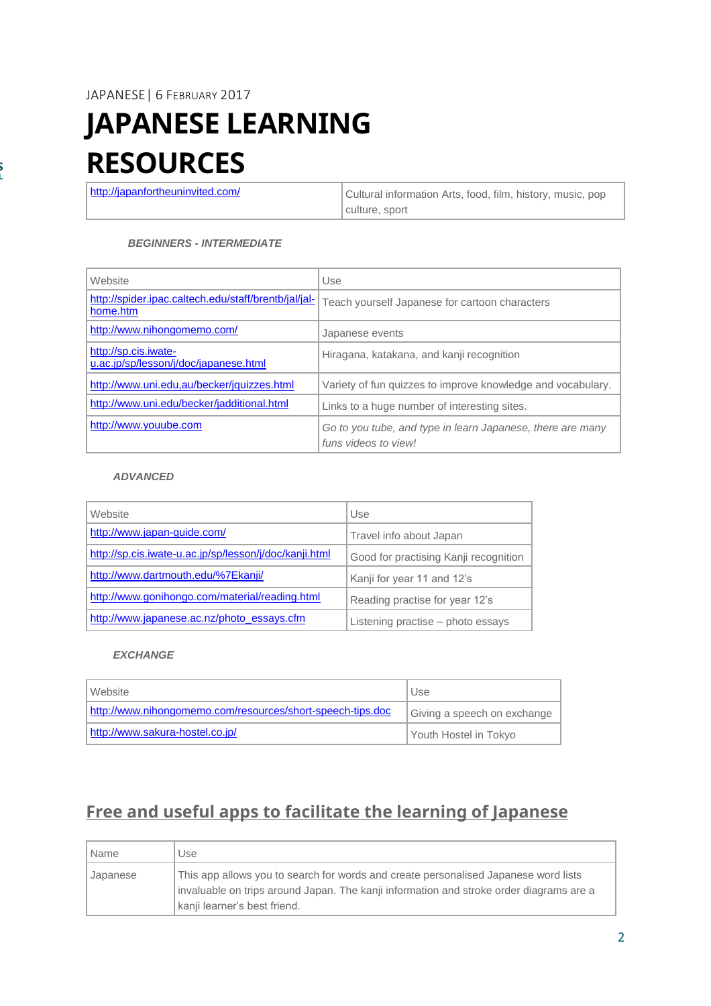## JAPANESE| 6 FEBRUARY 2017

# **JAPANESE LEARNING RESOURCES**

<http://japanfortheuninvited.com/> Cultural information Arts, food, film, history, music, pop culture, sport

## *BEGINNERS - INTERMEDIATE*

| Website                                                          | Use                                                                                |
|------------------------------------------------------------------|------------------------------------------------------------------------------------|
| http://spider.ipac.caltech.edu/staff/brentb/jal/jal-<br>home.htm | Teach yourself Japanese for cartoon characters                                     |
| http://www.nihongomemo.com/                                      | Japanese events                                                                    |
| http://sp.cis.iwate-<br>u.ac.jp/sp/lesson/j/doc/japanese.html    | Hiragana, katakana, and kanji recognition                                          |
| http://www.uni.edu.au/becker/jquizzes.html                       | Variety of fun quizzes to improve knowledge and vocabulary.                        |
| http://www.uni.edu/becker/jadditional.html                       | Links to a huge number of interesting sites.                                       |
| http://www.youube.com                                            | Go to you tube, and type in learn Japanese, there are many<br>funs videos to view! |

## *ADVANCED*

| Website                                                | Use                                   |
|--------------------------------------------------------|---------------------------------------|
| http://www.japan-guide.com/                            | Travel info about Japan               |
| http://sp.cis.iwate-u.ac.jp/sp/lesson/j/doc/kanji.html | Good for practising Kanji recognition |
| http://www.dartmouth.edu/%7Ekanji/                     | Kanji for year 11 and 12's            |
| http://www.gonihongo.com/material/reading.html         | Reading practise for year 12's        |
| http://www.japanese.ac.nz/photo_essays.cfm             | Listening practise – photo essays     |

### *EXCHANGE*

| l Website                                                  | Use                         |
|------------------------------------------------------------|-----------------------------|
| http://www.nihongomemo.com/resources/short-speech-tips.doc | Giving a speech on exchange |
| http://www.sakura-hostel.co.jp/                            | Youth Hostel in Tokyo       |

## **Free and useful apps to facilitate the learning of Japanese**

| l Name   | Use                                                                                                                                                                                                            |
|----------|----------------------------------------------------------------------------------------------------------------------------------------------------------------------------------------------------------------|
| Japanese | This app allows you to search for words and create personalised Japanese word lists<br>invaluable on trips around Japan. The kanji information and stroke order diagrams are a<br>kanji learner's best friend. |